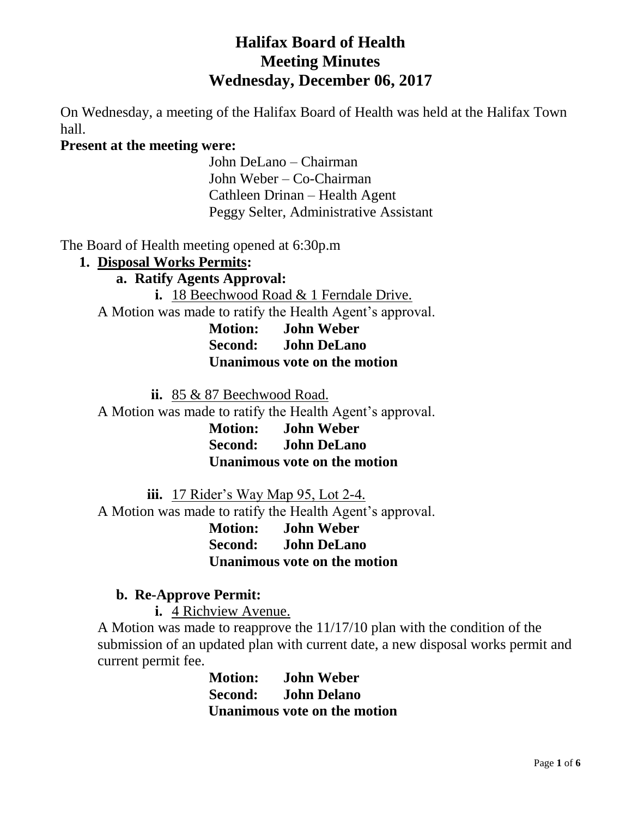# **Halifax Board of Health Meeting Minutes Wednesday, December 06, 2017**

On Wednesday, a meeting of the Halifax Board of Health was held at the Halifax Town hall.

### **Present at the meeting were:**

John DeLano – Chairman John Weber – Co-Chairman Cathleen Drinan – Health Agent Peggy Selter, Administrative Assistant

The Board of Health meeting opened at 6:30p.m

### **1. Disposal Works Permits:**

**a. Ratify Agents Approval:**

**i.** 18 Beechwood Road & 1 Ferndale Drive. A Motion was made to ratify the Health Agent's approval. **Motion: John Weber Second: John DeLano Unanimous vote on the motion**

**ii.** 85 & 87 Beechwood Road.

A Motion was made to ratify the Health Agent's approval.

**Motion: John Weber Second: John DeLano Unanimous vote on the motion**

**iii.** 17 Rider's Way Map 95, Lot 2-4. A Motion was made to ratify the Health Agent's approval.

> **Motion: John Weber Second: John DeLano Unanimous vote on the motion**

### **b. Re-Approve Permit:**

**i.** 4 Richview Avenue.

A Motion was made to reapprove the 11/17/10 plan with the condition of the submission of an updated plan with current date, a new disposal works permit and current permit fee.

> **Motion: John Weber Second: John Delano Unanimous vote on the motion**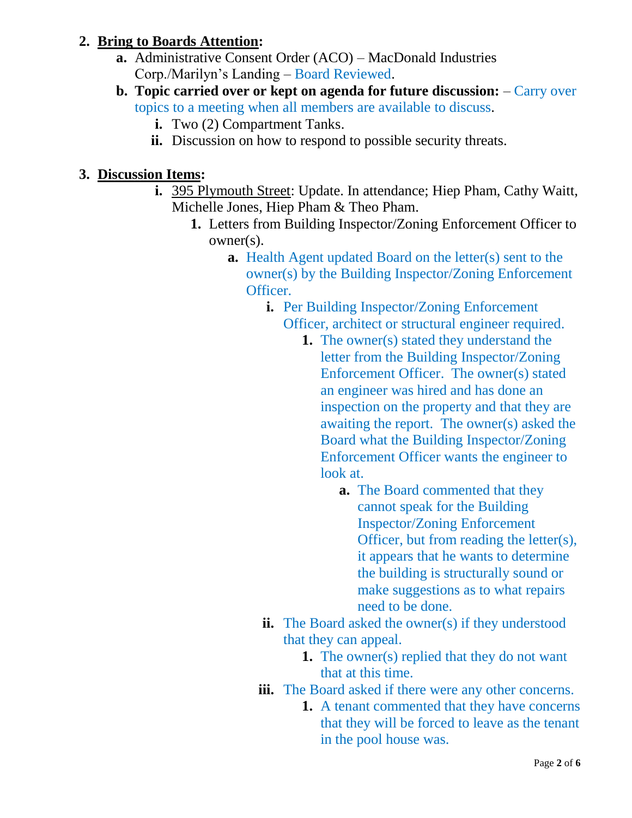# **2. Bring to Boards Attention:**

- **a.** Administrative Consent Order (ACO) MacDonald Industries Corp./Marilyn's Landing – Board Reviewed.
- **b. Topic carried over or kept on agenda for future discussion:** Carry over topics to a meeting when all members are available to discuss.
	- **i.** Two (2) Compartment Tanks.
	- **ii.** Discussion on how to respond to possible security threats.

# **3. Discussion Items:**

- **i.** 395 Plymouth Street: Update. In attendance; Hiep Pham, Cathy Waitt, Michelle Jones, Hiep Pham & Theo Pham.
	- **1.** Letters from Building Inspector/Zoning Enforcement Officer to owner(s).
		- **a.** Health Agent updated Board on the letter(s) sent to the owner(s) by the Building Inspector/Zoning Enforcement Officer.
			- **i.** Per Building Inspector/Zoning Enforcement Officer, architect or structural engineer required.
				- **1.** The owner(s) stated they understand the letter from the Building Inspector/Zoning Enforcement Officer. The owner(s) stated an engineer was hired and has done an inspection on the property and that they are awaiting the report. The owner(s) asked the Board what the Building Inspector/Zoning Enforcement Officer wants the engineer to look at.
					- **a.** The Board commented that they cannot speak for the Building Inspector/Zoning Enforcement Officer, but from reading the letter(s), it appears that he wants to determine the building is structurally sound or make suggestions as to what repairs need to be done.
			- **ii.** The Board asked the owner(s) if they understood that they can appeal.
				- **1.** The owner(s) replied that they do not want that at this time.
			- **iii.** The Board asked if there were any other concerns.
				- **1.** A tenant commented that they have concerns that they will be forced to leave as the tenant in the pool house was.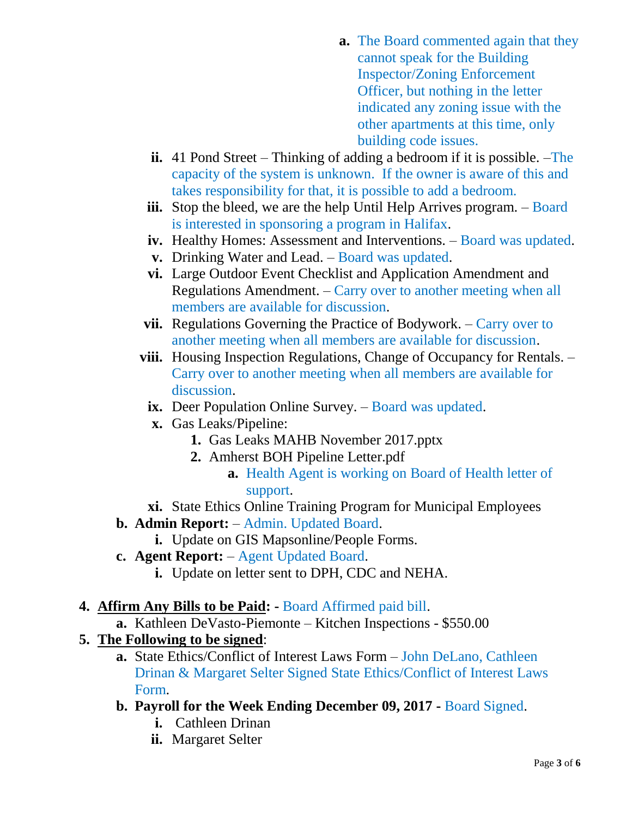- **a.** The Board commented again that they cannot speak for the Building Inspector/Zoning Enforcement Officer, but nothing in the letter indicated any zoning issue with the other apartments at this time, only building code issues.
- **ii.** 41 Pond Street Thinking of adding a bedroom if it is possible. –The capacity of the system is unknown. If the owner is aware of this and takes responsibility for that, it is possible to add a bedroom.
- iii. Stop the bleed, we are the help Until Help Arrives program. Board is interested in sponsoring a program in Halifax.
- **iv.** Healthy Homes: Assessment and Interventions. Board was updated.
- **v.** Drinking Water and Lead. Board was updated.
- **vi.** Large Outdoor Event Checklist and Application Amendment and Regulations Amendment. – Carry over to another meeting when all members are available for discussion.
- **vii.** Regulations Governing the Practice of Bodywork. Carry over to another meeting when all members are available for discussion.
- **viii.** Housing Inspection Regulations, Change of Occupancy for Rentals. Carry over to another meeting when all members are available for discussion.
	- **ix.** Deer Population Online Survey. Board was updated.
	- **x.** Gas Leaks/Pipeline:
		- **1.** Gas Leaks MAHB November 2017.pptx
		- **2.** Amherst BOH Pipeline Letter.pdf
			- **a.** Health Agent is working on Board of Health letter of support.
- **xi.** State Ethics Online Training Program for Municipal Employees
- **b. Admin Report:** Admin. Updated Board.
	- **i.** Update on GIS Mapsonline/People Forms.
- **c. Agent Report:** Agent Updated Board.
	- **i.** Update on letter sent to DPH, CDC and NEHA.
- **4. Affirm Any Bills to be Paid: -** Board Affirmed paid bill.
	- **a.** Kathleen DeVasto-Piemonte Kitchen Inspections \$550.00
- **5. The Following to be signed**:
	- **a.** State Ethics/Conflict of Interest Laws Form John DeLano, Cathleen Drinan & Margaret Selter Signed State Ethics/Conflict of Interest Laws Form.
	- **b. Payroll for the Week Ending December 09, 2017 -** Board Signed.
		- **i.** Cathleen Drinan
		- **ii.** Margaret Selter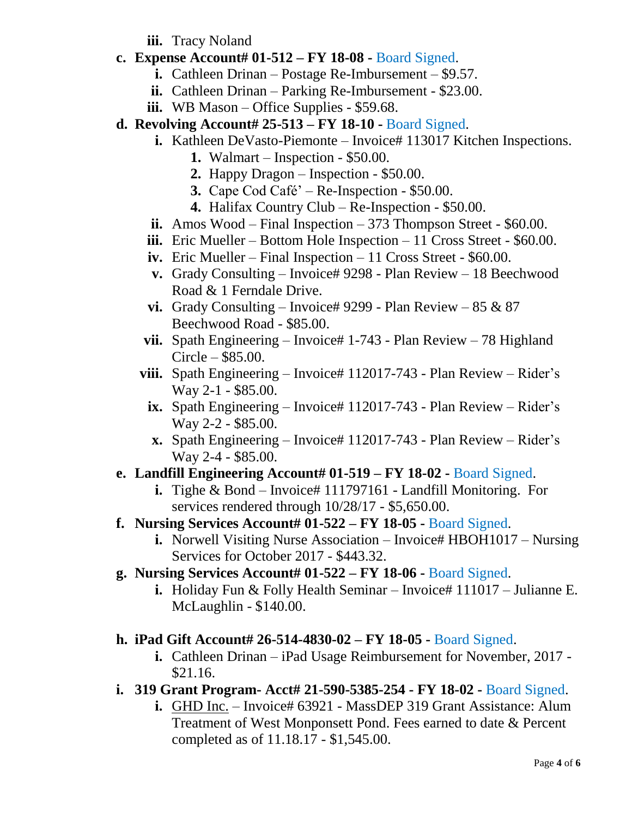**iii.** Tracy Noland

- **c. Expense Account# 01-512 – FY 18-08 -** Board Signed.
	- **i.** Cathleen Drinan Postage Re-Imbursement \$9.57.
	- **ii.** Cathleen Drinan Parking Re-Imbursement \$23.00.
	- **iii.** WB Mason Office Supplies \$59.68.
- **d. Revolving Account# 25-513 – FY 18-10 -** Board Signed.
	- **i.** Kathleen DeVasto-Piemonte Invoice# 113017 Kitchen Inspections.
		- **1.** Walmart Inspection \$50.00.
		- **2.** Happy Dragon Inspection \$50.00.
		- **3.** Cape Cod Café' Re-Inspection \$50.00.
		- **4.** Halifax Country Club Re-Inspection \$50.00.
	- **ii.** Amos Wood Final Inspection 373 Thompson Street \$60.00.
	- **iii.** Eric Mueller Bottom Hole Inspection 11 Cross Street \$60.00.
	- **iv.** Eric Mueller Final Inspection 11 Cross Street \$60.00.
	- **v.** Grady Consulting Invoice# 9298 Plan Review 18 Beechwood Road & 1 Ferndale Drive.
	- **vi.** Grady Consulting Invoice# 9299 Plan Review 85  $\&$  87 Beechwood Road - \$85.00.
	- **vii.** Spath Engineering Invoice# 1-743 Plan Review 78 Highland Circle – \$85.00.
	- viii. Spath Engineering Invoice# 112017-743 Plan Review Rider's Way 2-1 - \$85.00.
		- **ix.** Spath Engineering Invoice# 112017-743 Plan Review Rider's Way 2-2 - \$85.00.
		- **x.** Spath Engineering Invoice# 112017-743 Plan Review Rider's Way 2-4 - \$85.00.

# **e. Landfill Engineering Account# 01-519 – FY 18-02 -** Board Signed.

- **i.** Tighe & Bond Invoice# 111797161 Landfill Monitoring. For services rendered through 10/28/17 - \$5,650.00.
- **f. Nursing Services Account# 01-522 – FY 18-05 -** Board Signed.
	- **i.** Norwell Visiting Nurse Association Invoice# HBOH1017 Nursing Services for October 2017 - \$443.32.
- **g. Nursing Services Account# 01-522 – FY 18-06 -** Board Signed.
	- **i.** Holiday Fun & Folly Health Seminar Invoice# 111017 Julianne E. McLaughlin - \$140.00.

# **h. iPad Gift Account# 26-514-4830-02 – FY 18-05 -** Board Signed.

- **i.** Cathleen Drinan iPad Usage Reimbursement for November, 2017 \$21.16.
- **i. 319 Grant Program- Acct# 21-590-5385-254 - FY 18-02 -** Board Signed.
	- **i.** GHD Inc. Invoice# 63921 MassDEP 319 Grant Assistance: Alum Treatment of West Monponsett Pond. Fees earned to date & Percent completed as of 11.18.17 - \$1,545.00.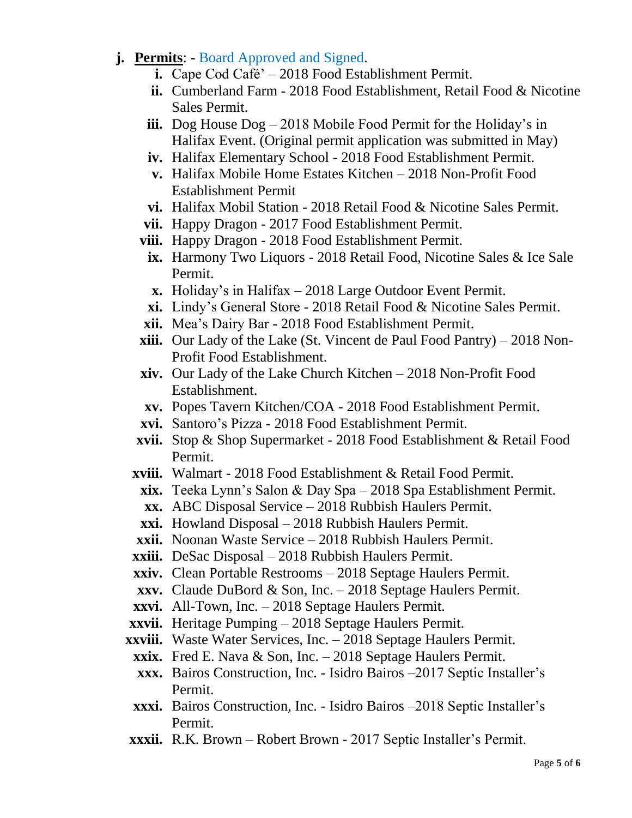- **j. Permits**: **-** Board Approved and Signed.
	- **i.** Cape Cod Café' 2018 Food Establishment Permit.
	- **ii.** Cumberland Farm 2018 Food Establishment, Retail Food & Nicotine Sales Permit.
	- **iii.** Dog House Dog 2018 Mobile Food Permit for the Holiday's in Halifax Event. (Original permit application was submitted in May)
	- **iv.** Halifax Elementary School 2018 Food Establishment Permit.
	- **v.** Halifax Mobile Home Estates Kitchen 2018 Non-Profit Food Establishment Permit
	- **vi.** Halifax Mobil Station 2018 Retail Food & Nicotine Sales Permit.
	- **vii.** Happy Dragon 2017 Food Establishment Permit.
	- **viii.** Happy Dragon 2018 Food Establishment Permit.
	- **ix.** Harmony Two Liquors 2018 Retail Food, Nicotine Sales & Ice Sale Permit.
	- **x.** Holiday's in Halifax 2018 Large Outdoor Event Permit.
	- **xi.** Lindy's General Store 2018 Retail Food & Nicotine Sales Permit.
	- **xii.** Mea's Dairy Bar 2018 Food Establishment Permit.
	- **xiii.** Our Lady of the Lake (St. Vincent de Paul Food Pantry) 2018 Non-Profit Food Establishment.
	- **xiv.** Our Lady of the Lake Church Kitchen 2018 Non-Profit Food Establishment.
	- **xv.** Popes Tavern Kitchen/COA 2018 Food Establishment Permit.
	- **xvi.** Santoro's Pizza 2018 Food Establishment Permit.
	- **xvii.** Stop & Shop Supermarket 2018 Food Establishment & Retail Food Permit.
	- **xviii.** Walmart 2018 Food Establishment & Retail Food Permit.
		- **xix.** Teeka Lynn's Salon & Day Spa 2018 Spa Establishment Permit.
		- **xx.** ABC Disposal Service 2018 Rubbish Haulers Permit.
		- **xxi.** Howland Disposal 2018 Rubbish Haulers Permit.
	- **xxii.** Noonan Waste Service 2018 Rubbish Haulers Permit.
	- **xxiii.** DeSac Disposal 2018 Rubbish Haulers Permit.
	- **xxiv.** Clean Portable Restrooms 2018 Septage Haulers Permit.
	- **xxv.** Claude DuBord & Son, Inc. 2018 Septage Haulers Permit.
	- **xxvi.** All-Town, Inc. 2018 Septage Haulers Permit.
	- **xxvii.** Heritage Pumping 2018 Septage Haulers Permit.
	- **xxviii.** Waste Water Services, Inc. 2018 Septage Haulers Permit.
	- **xxix.** Fred E. Nava & Son, Inc. 2018 Septage Haulers Permit.
	- **xxx.** Bairos Construction, Inc. Isidro Bairos –2017 Septic Installer's Permit.
	- **xxxi.** Bairos Construction, Inc. Isidro Bairos –2018 Septic Installer's Permit.
	- **xxxii.** R.K. Brown Robert Brown 2017 Septic Installer's Permit.